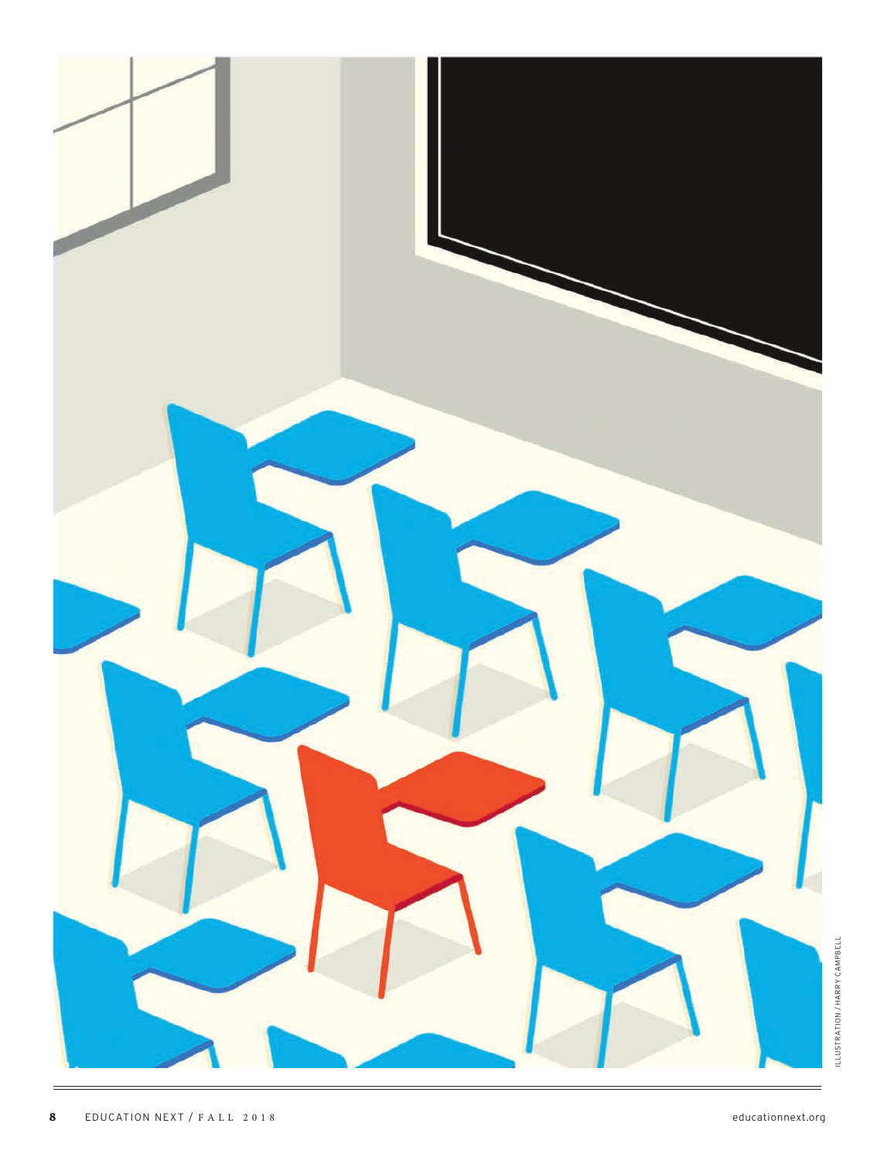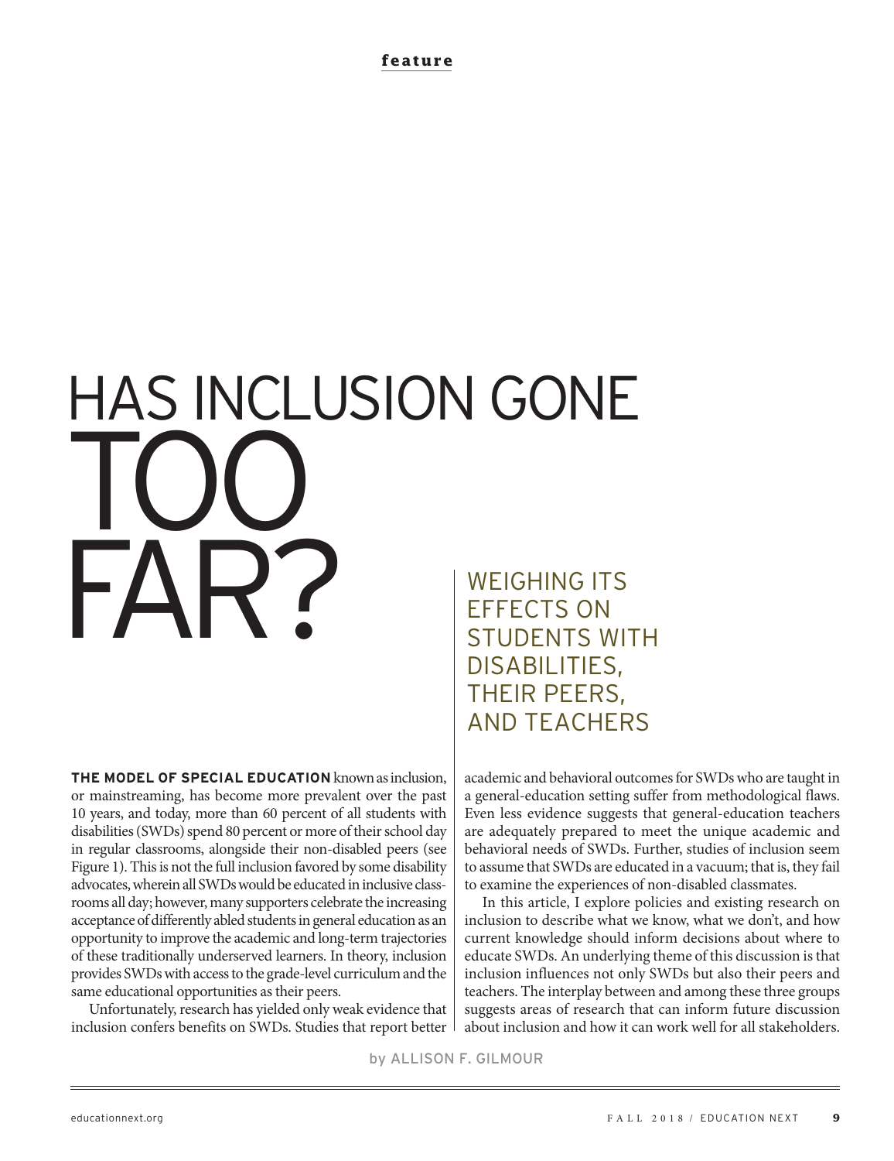**feature**

# HAS INCLUSION GONE TOO FAR? WEIGHING ITS EFFECTS ON

**THE MODEL OF SPECIAL EDUCATION** known as inclusion, or mainstreaming, has become more prevalent over the past 10 years, and today, more than 60 percent of all students with disabilities (SWDs) spend 80 percent or more of their school day in regular classrooms, alongside their non-disabled peers (see Figure 1). This is not the full inclusion favored by some disability advocates, wherein all SWDs would be educated in inclusive classrooms all day; however, many supporters celebrate the increasing acceptance of differently abled students in general education as an opportunity to improve the academic and long-term trajectories of these traditionally underserved learners. In theory, inclusion provides SWDs with access to the grade-level curriculum and the same educational opportunities as their peers.

Unfortunately, research has yielded only weak evidence that inclusion confers benefits on SWDs. Studies that report better

STUDENTS WITH DISABILITIES, THEIR PEERS, AND TEACHERS

academic and behavioral outcomes for SWDs who are taught in a general-education setting suffer from methodological flaws. Even less evidence suggests that general-education teachers are adequately prepared to meet the unique academic and behavioral needs of SWDs. Further, studies of inclusion seem to assume that SWDs are educated in a vacuum; that is, they fail to examine the experiences of non-disabled classmates.

In this article, I explore policies and existing research on inclusion to describe what we know, what we don't, and how current knowledge should inform decisions about where to educate SWDs. An underlying theme of this discussion is that inclusion influences not only SWDs but also their peers and teachers. The interplay between and among these three groups suggests areas of research that can inform future discussion about inclusion and how it can work well for all stakeholders.

by ALLISON F. GILMOUR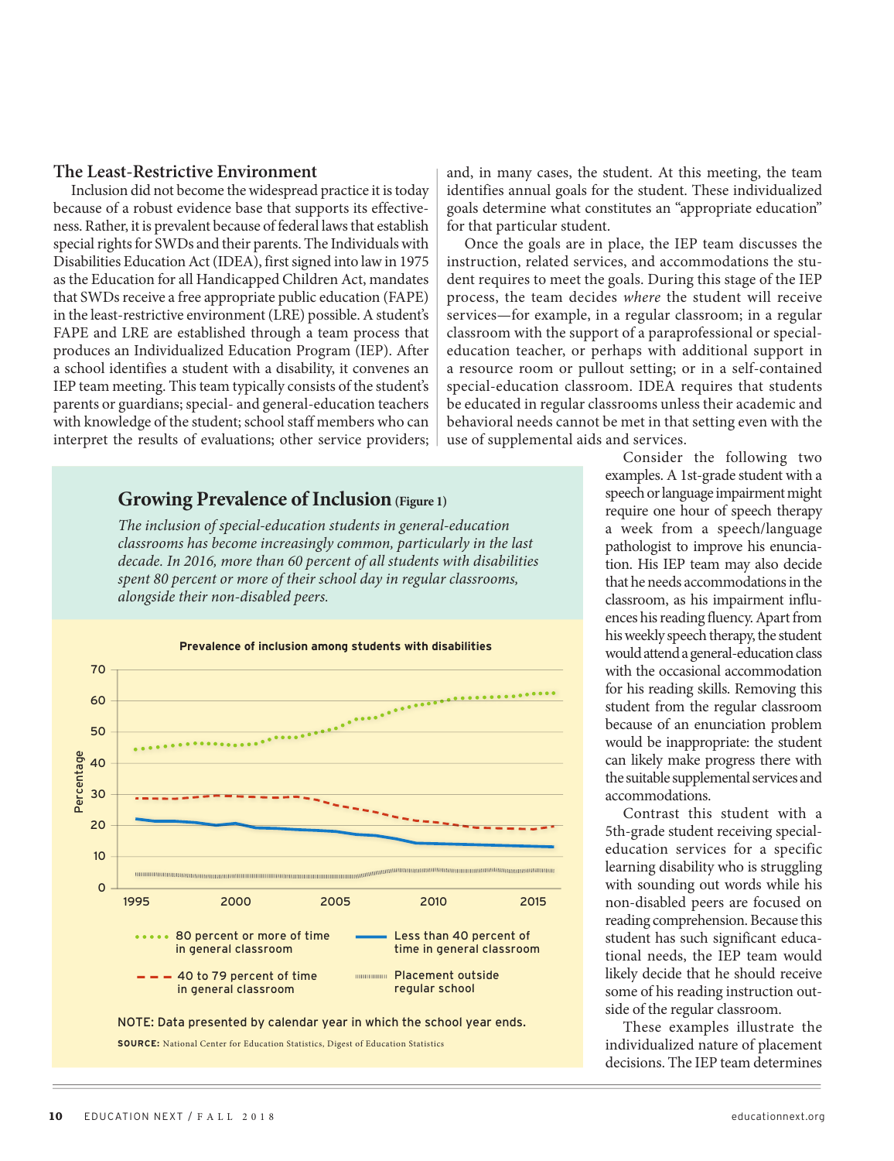## **The Least-Restrictive Environment**

Inclusion did not become the widespread practice it is today because of a robust evidence base that supports its effectiveness. Rather, it is prevalent because of federal laws that establish special rights for SWDs and their parents. The Individuals with Disabilities Education Act (IDEA), first signed into law in 1975 as the Education for all Handicapped Children Act, mandates that SWDs receive a free appropriate public education (FAPE) in the least-restrictive environment (LRE) possible. A student's FAPE and LRE are established through a team process that produces an Individualized Education Program (IEP). After a school identifies a student with a disability, it convenes an IEP team meeting. This team typically consists of the student's parents or guardians; special- and general-education teachers with knowledge of the student; school staff members who can interpret the results of evaluations; other service providers;

## **Growing Prevalence of Inclusion** (Figure 1)

*The inclusion of special-education students in general-education classrooms has become increasingly common, particularly in the last decade. In 2016, more than 60 percent of all students with disabilities spent 80 percent or more of their school day in regular classrooms, alongside their non-disabled peers.*



and, in many cases, the student. At this meeting, the team identifies annual goals for the student. These individualized goals determine what constitutes an "appropriate education" for that particular student.

Once the goals are in place, the IEP team discusses the instruction, related services, and accommodations the student requires to meet the goals. During this stage of the IEP process, the team decides *where* the student will receive services—for example, in a regular classroom; in a regular classroom with the support of a paraprofessional or specialeducation teacher, or perhaps with additional support in a resource room or pullout setting; or in a self-contained special-education classroom. IDEA requires that students be educated in regular classrooms unless their academic and behavioral needs cannot be met in that setting even with the use of supplemental aids and services.

> Consider the following two examples. A 1st-grade student with a speech or language impairment might require one hour of speech therapy a week from a speech/language pathologist to improve his enunciation. His IEP team may also decide that he needs accommodations in the classroom, as his impairment influences his reading fluency. Apart from his weekly speech therapy, the student would attend a general-education class with the occasional accommodation for his reading skills. Removing this student from the regular classroom because of an enunciation problem would be inappropriate: the student can likely make progress there with the suitable supplemental services and accommodations.

> Contrast this student with a 5th-grade student receiving specialeducation services for a specific learning disability who is struggling with sounding out words while his non-disabled peers are focused on reading comprehension. Because this student has such significant educational needs, the IEP team would likely decide that he should receive some of his reading instruction outside of the regular classroom.

These examples illustrate the individualized nature of placement decisions. The IEP team determines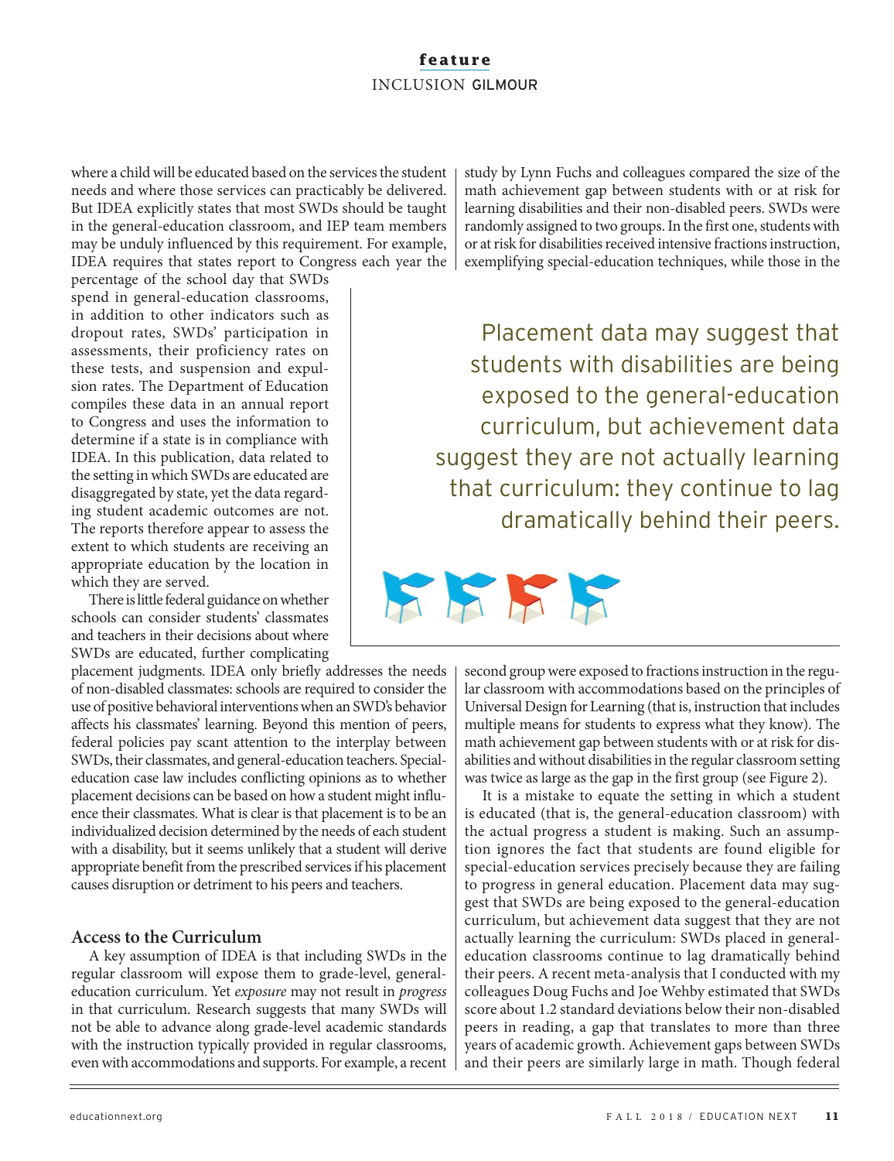where a child will be educated based on the services the student needs and where those services can practicably be delivered. But IDEA explicitly states that most SWDs should be taught in the general-education classroom, and IEP team members may be unduly influenced by this requirement. For example, IDEA requires that states report to Congress each year the

percentage of the school day that SWDs spend in general-education classrooms, in addition to other indicators such as dropout rates, SWDs' participation in assessments, their proficiency rates on these tests, and suspension and expulsion rates. The Department of Education compiles these data in an annual report to Congress and uses the information to determine if a state is in compliance with IDEA. In this publication, data related to the setting in which SWDs are educated are disaggregated by state, yet the data regarding student academic outcomes are not. The reports therefore appear to assess the extent to which students are receiving an appropriate education by the location in which they are served.

There is little federal guidance on whether schools can consider students' classmates and teachers in their decisions about where SWDs are educated, further complicating

placement judgments. IDEA only briefly addresses the needs of non-disabled classmates: schools are required to consider the use of positive behavioral interventions when an SWD's behavior affects his classmates' learning. Beyond this mention of peers, federal policies pay scant attention to the interplay between SWDs, their classmates, and general-education teachers. Specialeducation case law includes conflicting opinions as to whether placement decisions can be based on how a student might influence their classmates. What is clear is that placement is to be an individualized decision determined by the needs of each student with a disability, but it seems unlikely that a student will derive appropriate benefit from the prescribed services if his placement causes disruption or detriment to his peers and teachers.

## **Access to the Curriculum**

A key assumption of IDEA is that including SWDs in the regular classroom will expose them to grade-level, generaleducation curriculum. Yet *exposure* may not result in *progress*  in that curriculum. Research suggests that many SWDs will not be able to advance along grade-level academic standards with the instruction typically provided in regular classrooms, even with accommodations and supports. For example, a recent

study by Lynn Fuchs and colleagues compared the size of the math achievement gap between students with or at risk for learning disabilities and their non-disabled peers. SWDs were randomly assigned to two groups. In the first one, students with or at risk for disabilities received intensive fractions instruction, exemplifying special-education techniques, while those in the

Placement data may suggest that students with disabilities are being exposed to the general-education curriculum, but achievement data suggest they are not actually learning that curriculum: they continue to lag dramatically behind their peers.



second group were exposed to fractions instruction in the regular classroom with accommodations based on the principles of Universal Design for Learning (that is, instruction that includes multiple means for students to express what they know). The math achievement gap between students with or at risk for disabilities and without disabilities in the regular classroom setting was twice as large as the gap in the first group (see Figure 2).

It is a mistake to equate the setting in which a student is educated (that is, the general-education classroom) with the actual progress a student is making. Such an assumption ignores the fact that students are found eligible for special-education services precisely because they are failing to progress in general education. Placement data may suggest that SWDs are being exposed to the general-education curriculum, but achievement data suggest that they are not actually learning the curriculum: SWDs placed in generaleducation classrooms continue to lag dramatically behind their peers. A recent meta-analysis that I conducted with my colleagues Doug Fuchs and Joe Wehby estimated that SWDs score about 1.2 standard deviations below their non-disabled peers in reading, a gap that translates to more than three years of academic growth. Achievement gaps between SWDs and their peers are similarly large in math. Though federal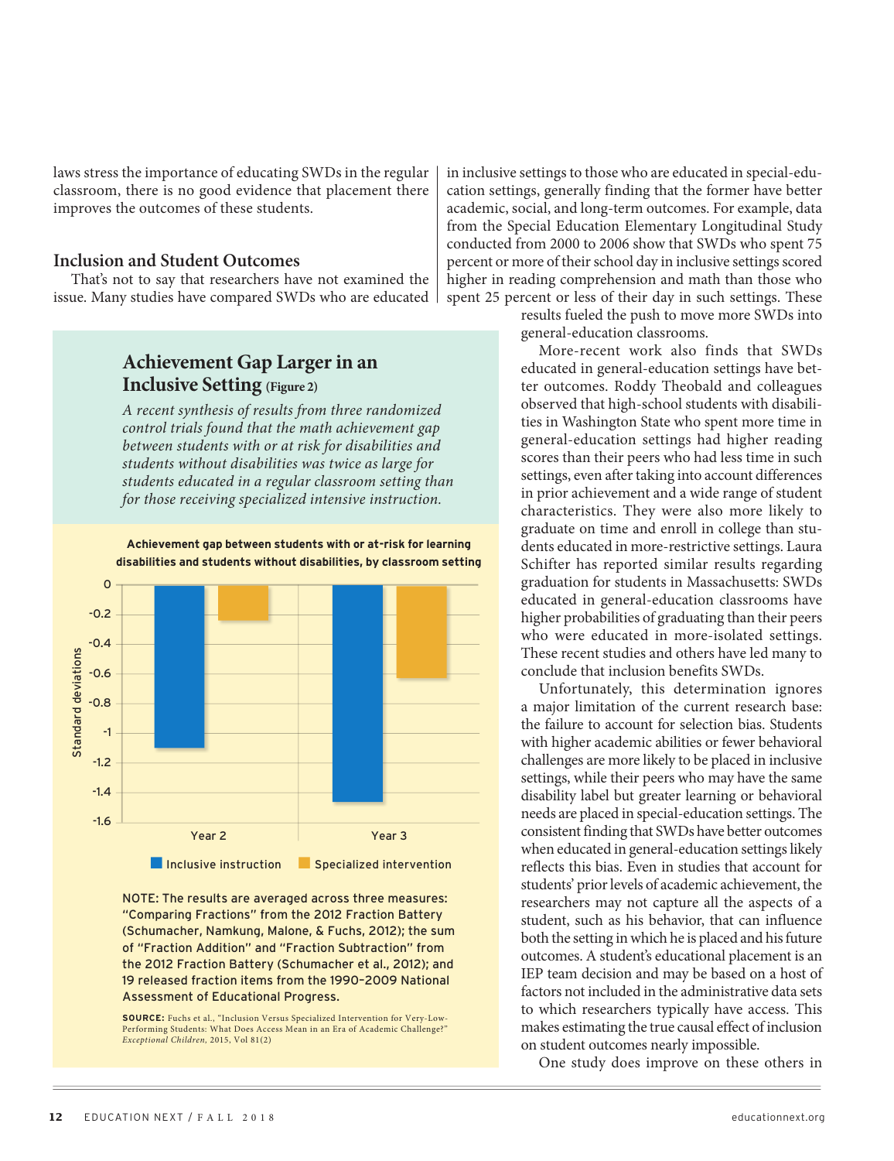laws stress the importance of educating SWDs in the regular classroom, there is no good evidence that placement there improves the outcomes of these students.

#### **Inclusion and Student Outcomes**

That's not to say that researchers have not examined the issue. Many studies have compared SWDs who are educated

## **Achievement Gap Larger in an Inclusive Setting (Figure 2)**

*A recent synthesis of results from three randomized control trials found that the math achievement gap between students with or at risk for disabilities and students without disabilities was twice as large for students educated in a regular classroom setting than for those receiving specialized intensive instruction.*

## **Achievement gap between students with or at-risk for learning disabilities and students without disabilities, by classroom setting**

cation settings, generally finding that the former have better academic, social, and long-term outcomes. For example, data from the Special Education Elementary Longitudinal Study conducted from 2000 to 2006 show that SWDs who spent 75 percent or more of their school day in inclusive settings scored higher in reading comprehension and math than those who spent 25 percent or less of their day in such settings. These

in inclusive settings to those who are educated in special-edu-

results fueled the push to move more SWDs into general-education classrooms.

More-recent work also finds that SWDs educated in general-education settings have better outcomes. Roddy Theobald and colleagues observed that high-school students with disabilities in Washington State who spent more time in general-education settings had higher reading scores than their peers who had less time in such settings, even after taking into account differences in prior achievement and a wide range of student characteristics. They were also more likely to graduate on time and enroll in college than students educated in more-restrictive settings. Laura Schifter has reported similar results regarding graduation for students in Massachusetts: SWDs educated in general-education classrooms have higher probabilities of graduating than their peers who were educated in more-isolated settings. These recent studies and others have led many to conclude that inclusion benefits SWDs.

Unfortunately, this determination ignores a major limitation of the current research base: the failure to account for selection bias. Students with higher academic abilities or fewer behavioral challenges are more likely to be placed in inclusive settings, while their peers who may have the same disability label but greater learning or behavioral needs are placed in special-education settings. The consistent finding that SWDs have better outcomes when educated in general-education settings likely reflects this bias. Even in studies that account for students' prior levels of academic achievement, the researchers may not capture all the aspects of a student, such as his behavior, that can influence both the setting in which he is placed and his future outcomes. A student's educational placement is an IEP team decision and may be based on a host of factors not included in the administrative data sets to which researchers typically have access. This makes estimating the true causal effect of inclusion on student outcomes nearly impossible.

One study does improve on these others in

## $\mathbf 0$ -0.2 -0.4 Standard deviations Standard deviations  $-0.6$ -0.8 -1 -1.2 -1.4 -1.6 Year 2 Year 3 **n** Inclusive instruction **n** Specialized intervention

NOTE: The results are averaged across three measures: "Comparing Fractions" from the 2012 Fraction Battery (Schumacher, Namkung, Malone, & Fuchs, 2012); the sum of "Fraction Addition" and "Fraction Subtraction" from the 2012 Fraction Battery (Schumacher et al., 2012); and 19 released fraction items from the 1990–2009 National Assessment of Educational Progress.

**SOURCE:** Fuchs et al., "Inclusion Versus Specialized Intervention for Very-Low-Performing Students: What Does Access Mean in an Era of Academic Challenge?" *Exceptional Children,* 2015, Vol 81(2)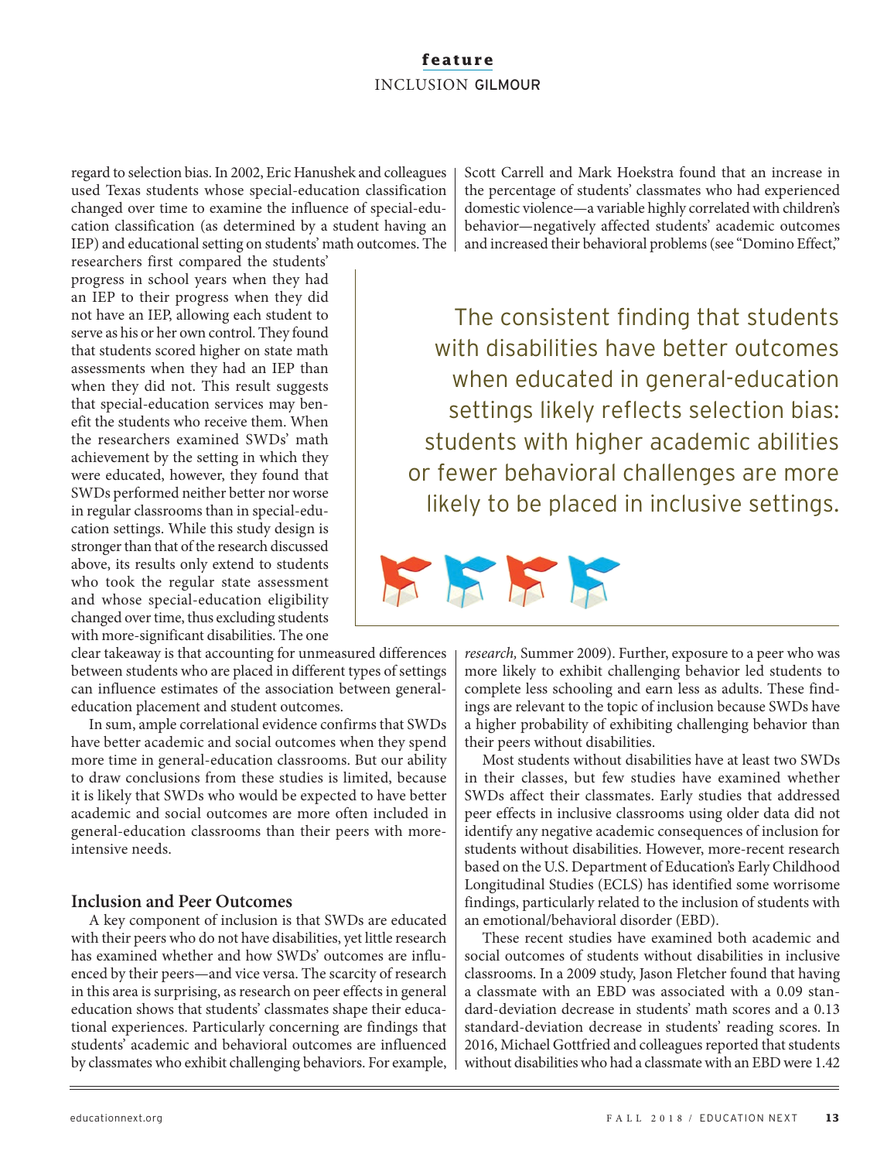regard to selection bias. In 2002, Eric Hanushek and colleagues used Texas students whose special-education classification changed over time to examine the influence of special-education classification (as determined by a student having an IEP) and educational setting on students' math outcomes. The

researchers first compared the students' progress in school years when they had an IEP to their progress when they did not have an IEP, allowing each student to serve as his or her own control. They found that students scored higher on state math assessments when they had an IEP than when they did not. This result suggests that special-education services may benefit the students who receive them. When the researchers examined SWDs' math achievement by the setting in which they were educated, however, they found that SWDs performed neither better nor worse in regular classrooms than in special-education settings. While this study design is stronger than that of the research discussed above, its results only extend to students who took the regular state assessment and whose special-education eligibility changed over time, thus excluding students with more-significant disabilities. The one

clear takeaway is that accounting for unmeasured differences between students who are placed in different types of settings can influence estimates of the association between generaleducation placement and student outcomes.

In sum, ample correlational evidence confirms that SWDs have better academic and social outcomes when they spend more time in general-education classrooms. But our ability to draw conclusions from these studies is limited, because it is likely that SWDs who would be expected to have better academic and social outcomes are more often included in general-education classrooms than their peers with moreintensive needs.

## **Inclusion and Peer Outcomes**

A key component of inclusion is that SWDs are educated with their peers who do not have disabilities, yet little research has examined whether and how SWDs' outcomes are influenced by their peers—and vice versa. The scarcity of research in this area is surprising, as research on peer effects in general education shows that students' classmates shape their educational experiences. Particularly concerning are findings that students' academic and behavioral outcomes are influenced by classmates who exhibit challenging behaviors. For example, Scott Carrell and Mark Hoekstra found that an increase in the percentage of students' classmates who had experienced domestic violence—a variable highly correlated with children's behavior—negatively affected students' academic outcomes and increased their behavioral problems (see "Domino Effect,"

The consistent finding that students with disabilities have better outcomes when educated in general-education settings likely reflects selection bias: students with higher academic abilities or fewer behavioral challenges are more likely to be placed in inclusive settings.



*research,* Summer 2009). Further, exposure to a peer who was more likely to exhibit challenging behavior led students to complete less schooling and earn less as adults. These findings are relevant to the topic of inclusion because SWDs have a higher probability of exhibiting challenging behavior than their peers without disabilities.

Most students without disabilities have at least two SWDs in their classes, but few studies have examined whether SWDs affect their classmates. Early studies that addressed peer effects in inclusive classrooms using older data did not identify any negative academic consequences of inclusion for students without disabilities. However, more-recent research based on the U.S. Department of Education's Early Childhood Longitudinal Studies (ECLS) has identified some worrisome findings, particularly related to the inclusion of students with an emotional/behavioral disorder (EBD).

These recent studies have examined both academic and social outcomes of students without disabilities in inclusive classrooms. In a 2009 study, Jason Fletcher found that having a classmate with an EBD was associated with a 0.09 standard-deviation decrease in students' math scores and a 0.13 standard-deviation decrease in students' reading scores. In 2016, Michael Gottfried and colleagues reported that students without disabilities who had a classmate with an EBD were 1.42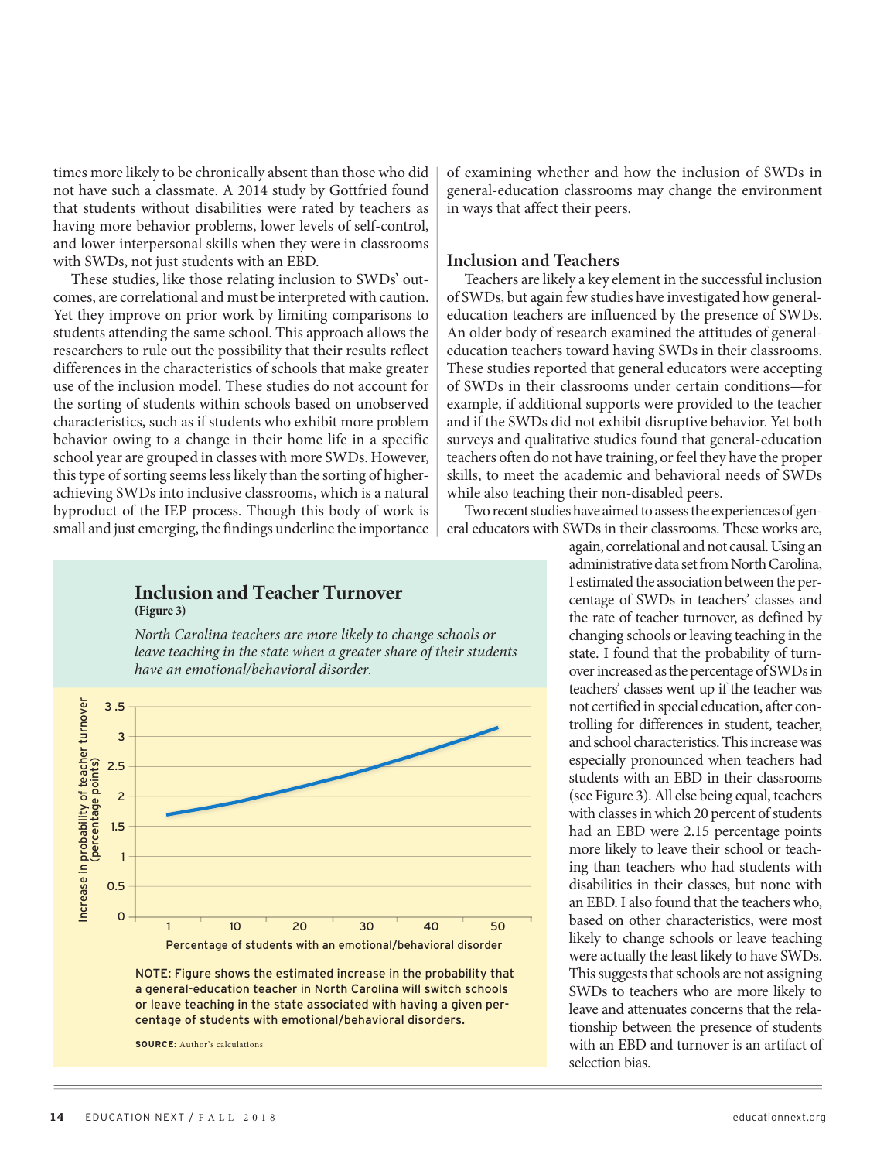times more likely to be chronically absent than those who did not have such a classmate. A 2014 study by Gottfried found that students without disabilities were rated by teachers as having more behavior problems, lower levels of self-control, and lower interpersonal skills when they were in classrooms with SWDs, not just students with an EBD.

These studies, like those relating inclusion to SWDs' outcomes, are correlational and must be interpreted with caution. Yet they improve on prior work by limiting comparisons to students attending the same school. This approach allows the researchers to rule out the possibility that their results reflect differences in the characteristics of schools that make greater use of the inclusion model. These studies do not account for the sorting of students within schools based on unobserved characteristics, such as if students who exhibit more problem behavior owing to a change in their home life in a specific school year are grouped in classes with more SWDs. However, this type of sorting seems less likely than the sorting of higherachieving SWDs into inclusive classrooms, which is a natural byproduct of the IEP process. Though this body of work is small and just emerging, the findings underline the importance of examining whether and how the inclusion of SWDs in general-education classrooms may change the environment in ways that affect their peers.

## **Inclusion and Teachers**

Teachers are likely a key element in the successful inclusion of SWDs, but again few studies have investigated how generaleducation teachers are influenced by the presence of SWDs. An older body of research examined the attitudes of generaleducation teachers toward having SWDs in their classrooms. These studies reported that general educators were accepting of SWDs in their classrooms under certain conditions—for example, if additional supports were provided to the teacher and if the SWDs did not exhibit disruptive behavior. Yet both surveys and qualitative studies found that general-education teachers often do not have training, or feel they have the proper skills, to meet the academic and behavioral needs of SWDs while also teaching their non-disabled peers.

Two recent studies have aimed to assess the experiences of general educators with SWDs in their classrooms. These works are,

> again, correlational and not causal. Using an administrative data set from North Carolina, I estimated the association between the percentage of SWDs in teachers' classes and the rate of teacher turnover, as defined by changing schools or leaving teaching in the state. I found that the probability of turnover increased as the percentage of SWDs in teachers' classes went up if the teacher was not certified in special education, after controlling for differences in student, teacher, and school characteristics. This increase was especially pronounced when teachers had students with an EBD in their classrooms (see Figure 3). All else being equal, teachers with classes in which 20 percent of students had an EBD were 2.15 percentage points more likely to leave their school or teaching than teachers who had students with disabilities in their classes, but none with an EBD. I also found that the teachers who, based on other characteristics, were most likely to change schools or leave teaching were actually the least likely to have SWDs. This suggests that schools are not assigning SWDs to teachers who are more likely to leave and attenuates concerns that the relationship between the presence of students with an EBD and turnover is an artifact of selection bias.

## **Inclusion and Teacher Turnover (Figure 3)**

*North Carolina teachers are more likely to change schools or leave teaching in the state when a greater share of their students have an emotional/behavioral disorder.*



NOTE: Figure shows the estimated increase in the probability that a general-education teacher in North Carolina will switch schools or leave teaching in the state associated with having a given percentage of students with emotional/behavioral disorders.

**SOURCE:** Author's calculations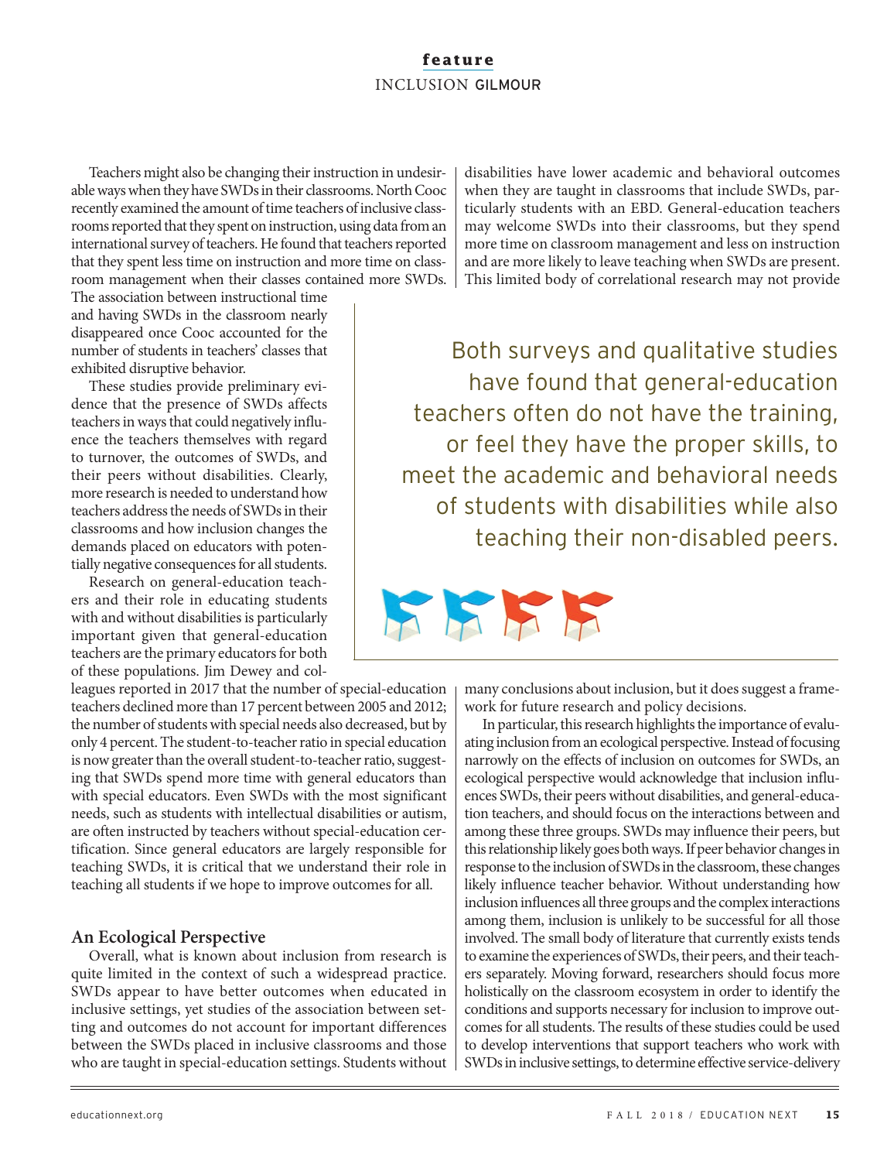Teachers might also be changing their instruction in undesirable ways when they have SWDs in their classrooms. North Cooc recently examined the amount of time teachers of inclusive classrooms reported that they spent on instruction, using data from an international survey of teachers. He found that teachers reported that they spent less time on instruction and more time on classroom management when their classes contained more SWDs.

The association between instructional time and having SWDs in the classroom nearly disappeared once Cooc accounted for the number of students in teachers' classes that exhibited disruptive behavior.

These studies provide preliminary evidence that the presence of SWDs affects teachers in ways that could negatively influence the teachers themselves with regard to turnover, the outcomes of SWDs, and their peers without disabilities. Clearly, more research is needed to understand how teachers address the needs of SWDs in their classrooms and how inclusion changes the demands placed on educators with potentially negative consequences for all students.

Research on general-education teachers and their role in educating students with and without disabilities is particularly important given that general-education teachers are the primary educators for both of these populations. Jim Dewey and col-

leagues reported in 2017 that the number of special-education teachers declined more than 17 percent between 2005 and 2012; the number of students with special needs also decreased, but by only 4 percent. The student-to-teacher ratio in special education is now greater than the overall student-to-teacher ratio, suggesting that SWDs spend more time with general educators than with special educators. Even SWDs with the most significant needs, such as students with intellectual disabilities or autism, are often instructed by teachers without special-education certification. Since general educators are largely responsible for teaching SWDs, it is critical that we understand their role in teaching all students if we hope to improve outcomes for all.

## **An Ecological Perspective**

Overall, what is known about inclusion from research is quite limited in the context of such a widespread practice. SWDs appear to have better outcomes when educated in inclusive settings, yet studies of the association between setting and outcomes do not account for important differences between the SWDs placed in inclusive classrooms and those who are taught in special-education settings. Students without

disabilities have lower academic and behavioral outcomes when they are taught in classrooms that include SWDs, particularly students with an EBD. General-education teachers may welcome SWDs into their classrooms, but they spend more time on classroom management and less on instruction and are more likely to leave teaching when SWDs are present. This limited body of correlational research may not provide

Both surveys and qualitative studies have found that general-education teachers often do not have the training, or feel they have the proper skills, to meet the academic and behavioral needs of students with disabilities while also teaching their non-disabled peers.



many conclusions about inclusion, but it does suggest a framework for future research and policy decisions.

In particular, this research highlights the importance of evaluating inclusion from an ecological perspective. Instead of focusing narrowly on the effects of inclusion on outcomes for SWDs, an ecological perspective would acknowledge that inclusion influences SWDs, their peers without disabilities, and general-education teachers, and should focus on the interactions between and among these three groups. SWDs may influence their peers, but this relationship likely goes both ways. If peer behavior changes in response to the inclusion of SWDs in the classroom, these changes likely influence teacher behavior. Without understanding how inclusion influences all three groups and the complex interactions among them, inclusion is unlikely to be successful for all those involved. The small body of literature that currently exists tends to examine the experiences of SWDs, their peers, and their teachers separately. Moving forward, researchers should focus more holistically on the classroom ecosystem in order to identify the conditions and supports necessary for inclusion to improve outcomes for all students. The results of these studies could be used to develop interventions that support teachers who work with SWDs in inclusive settings, to determine effective service-delivery